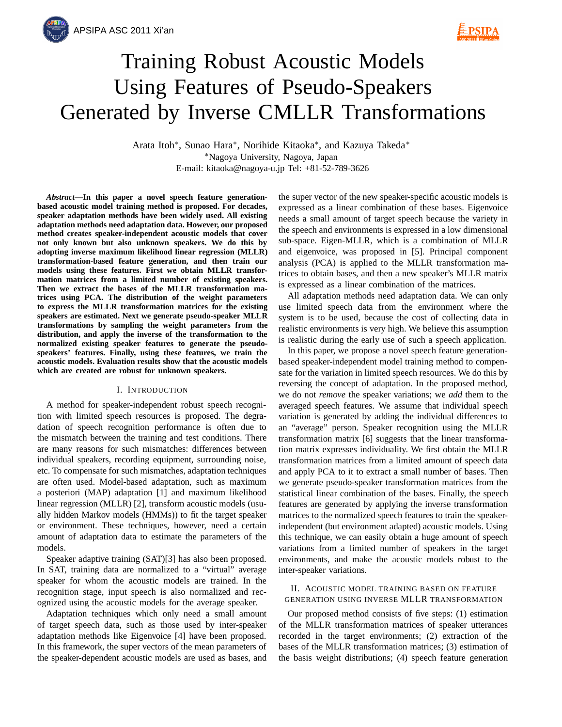

# Training Robust Acoustic Models Using Features of Pseudo-Speakers Generated by Inverse CMLLR Transformations

Arata Itoh∗, Sunao Hara∗, Norihide Kitaoka∗, and Kazuya Takeda∗ ∗Nagoya University, Nagoya, Japan E-mail: kitaoka@nagoya-u.jp Tel: +81-52-789-3626

*Abstract***—In this paper a novel speech feature generationbased acoustic model training method is proposed. For decades, speaker adaptation methods have been widely used. All existing adaptation methods need adaptation data. However, our proposed method creates speaker-independent acoustic models that cover not only known but also unknown speakers. We do this by adopting inverse maximum likelihood linear regression (MLLR) transformation-based feature generation, and then train our models using these features. First we obtain MLLR transformation matrices from a limited number of existing speakers. Then we extract the bases of the MLLR transformation matrices using PCA. The distribution of the weight parameters to express the MLLR transformation matrices for the existing speakers are estimated. Next we generate pseudo-speaker MLLR transformations by sampling the weight parameters from the distribution, and apply the inverse of the transformation to the normalized existing speaker features to generate the pseudospeakers' features. Finally, using these features, we train the acoustic models. Evaluation results show that the acoustic models which are created are robust for unknown speakers.**

#### I. INTRODUCTION

A method for speaker-independent robust speech recognition with limited speech resources is proposed. The degradation of speech recognition performance is often due to the mismatch between the training and test conditions. There are many reasons for such mismatches: differences between individual speakers, recording equipment, surrounding noise, etc. To compensate for such mismatches, adaptation techniques are often used. Model-based adaptation, such as maximum a posteriori (MAP) adaptation [1] and maximum likelihood linear regression (MLLR) [2], transform acoustic models (usually hidden Markov models (HMMs)) to fit the target speaker or environment. These techniques, however, need a certain amount of adaptation data to estimate the parameters of the models.

Speaker adaptive training (SAT)[3] has also been proposed. In SAT, training data are normalized to a "virtual" average speaker for whom the acoustic models are trained. In the recognition stage, input speech is also normalized and recognized using the acoustic models for the average speaker.

Adaptation techniques which only need a small amount of target speech data, such as those used by inter-speaker adaptation methods like Eigenvoice [4] have been proposed. In this framework, the super vectors of the mean parameters of the speaker-dependent acoustic models are used as bases, and

the super vector of the new speaker-specific acoustic models is expressed as a linear combination of these bases. Eigenvoice needs a small amount of target speech because the variety in the speech and environments is expressed in a low dimensional sub-space. Eigen-MLLR, which is a combination of MLLR and eigenvoice, was proposed in [5]. Principal component analysis (PCA) is applied to the MLLR transformation matrices to obtain bases, and then a new speaker's MLLR matrix is expressed as a linear combination of the matrices.

All adaptation methods need adaptation data. We can only use limited speech data from the environment where the system is to be used, because the cost of collecting data in realistic environments is very high. We believe this assumption is realistic during the early use of such a speech application.

In this paper, we propose a novel speech feature generationbased speaker-independent model training method to compensate for the variation in limited speech resources. We do this by reversing the concept of adaptation. In the proposed method, we do not *remove* the speaker variations; we *add* them to the averaged speech features. We assume that individual speech variation is generated by adding the individual differences to an "average" person. Speaker recognition using the MLLR transformation matrix [6] suggests that the linear transformation matrix expresses individuality. We first obtain the MLLR transformation matrices from a limited amount of speech data and apply PCA to it to extract a small number of bases. Then we generate pseudo-speaker transformation matrices from the statistical linear combination of the bases. Finally, the speech features are generated by applying the inverse transformation matrices to the normalized speech features to train the speakerindependent (but environment adapted) acoustic models. Using this technique, we can easily obtain a huge amount of speech variations from a limited number of speakers in the target environments, and make the acoustic models robust to the inter-speaker variations.

# II. ACOUSTIC MODEL TRAINING BASED ON FEATURE GENERATION USING INVERSE MLLR TRANSFORMATION

Our proposed method consists of five steps: (1) estimation of the MLLR transformation matrices of speaker utterances recorded in the target environments; (2) extraction of the bases of the MLLR transformation matrices; (3) estimation of the basis weight distributions; (4) speech feature generation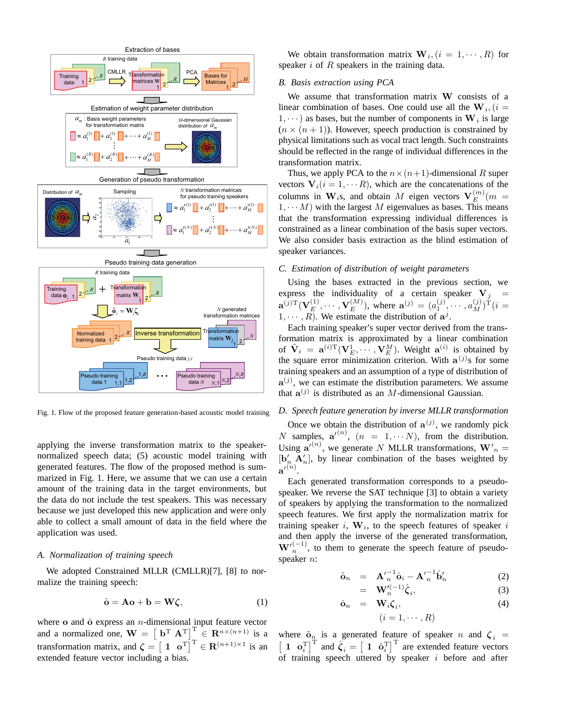

Fig. 1. Flow of the proposed feature generation-based acoustic model training

applying the inverse transformation matrix to the speakernormalized speech data; (5) acoustic model training with generated features. The flow of the proposed method is summarized in Fig. 1. Here, we assume that we can use a certain amount of the training data in the target environments, but the data do not include the test speakers. This was necessary because we just developed this new application and were only able to collect a small amount of data in the field where the application was used.

# *A. Normalization of training speech*

We adopted Constrained MLLR (CMLLR)[7], [8] to normalize the training speech:

$$
\hat{\mathbf{o}} = \mathbf{A}\mathbf{o} + \mathbf{b} = \mathbf{W}\boldsymbol{\zeta},\tag{1}
$$

where **o** and **ô** express an *n*-dimensional input feature vector and a normalized one,  $\mathbf{W} = \begin{bmatrix} \mathbf{b}^T \ \mathbf{A}^T \end{bmatrix}^T \in \mathbf{R}^{n \times (n+1)}$  is a transformation matrix, and  $\boldsymbol{\zeta} = \begin{bmatrix} 1 & \mathbf{o}^T \end{bmatrix}^T \in \mathbf{R}^{(n+1)\times 1}$  is an extended feature vector including a bias.

We obtain transformation matrix  $\mathbf{W}_i$ ,  $(i = 1, \dots, R)$  for speaker *i* of *R* speakers in the training data.

# *B. Basis extraction using PCA*

We assume that transformation matrix **W** consists of a linear combination of bases. One could use all the  $W_i$ , (*i* = 1,  $\cdots$  as bases, but the number of components in  $W_i$  is large  $(n \times (n + 1))$ . However, speech production is constrained by physical limitations such as vocal tract length. Such constraints should be reflected in the range of individual differences in the transformation matrix.

Thus, we apply PCA to the  $n \times (n+1)$ -dimensional R super vectors  $V_i(i = 1, \dots R)$ , which are the concatenations of the columns in  $W_i$ s, and obtain *M* eigen vectors  $V_E^{(m)}(m)$  $1, \cdots M$ ) with the largest *M* eigenvalues as bases. This means that the transformation expressing individual differences is constrained as a linear combination of the basis super vectors. We also consider basis extraction as the blind estimation of speaker variances.

# *C. Estimation of distribution of weight parameters*

Using the bases extracted in the previous section, we express the individuality of a certain speaker  $V_j$  =  $\mathbf{a}^{(j)}(\mathbf{V}_{E}^{(1)}, \cdots, \mathbf{V}_{E}^{(M)})$ , where  $\mathbf{a}^{(j)} = (a_1^{(j)}, \cdots, a_M^{(j)})^{\mathrm{T}}$  (*i* =  $1, \dots, R$ . We estimate the distribution of  $a^j$ .

Each training speaker's super vector derived from the transformation matrix is approximated by a linear combination of  $\tilde{\mathbf{V}}_i = \mathbf{a}^{(i)T}(\mathbf{V}_E^1, \cdots, \mathbf{V}_E^M)$ . Weight  $\mathbf{a}^{(i)}$  is obtained by the square error minimization criterion. With  $a^{(j)}$ s for some training speakers and an assumption of a type of distribution of  $\mathbf{a}^{(j)}$ , we can estimate the distribution parameters. We assume that  $\mathbf{a}^{(j)}$  is distributed as an *M*-dimensional Gaussian.

# *D. Speech feature generation by inverse MLLR transformation*

Once we obtain the distribution of  $\mathbf{a}^{(j)}$ , we randomly pick *N* samples,  $\mathbf{a'}^{(n)}$ ,  $(n = 1, \dots N)$ , from the distribution. Using  $\mathbf{a'}^{(n)}$ , we generate *N* MLLR transformations,  $\mathbf{W'}_n =$  $[\mathbf{b}'_n \, \mathbf{A}'_n]$ , by linear combination of the bases weighted by  $\mathbf{a'}^{(n)}$ .

Each generated transformation corresponds to a pseudospeaker. We reverse the SAT technique [3] to obtain a variety of speakers by applying the transformation to the normalized speech features. We first apply the normalization matrix for training speaker  $i$ ,  $W_i$ , to the speech features of speaker  $i$ and then apply the inverse of the generated transformation,  $W'^{(-1)}_{n}$ , to them to generate the speech feature of pseudospeaker *n*:

$$
\tilde{\mathbf{o}}_n = \mathbf{A'}_n^{-1} \hat{\mathbf{o}}_i - \mathbf{A'}_n^{-1} \hat{\mathbf{b}}'_n \tag{2}
$$

$$
= \mathbf{W}'^{(-1)}_{n} \hat{\zeta}_{i}, \tag{3}
$$

$$
\hat{\mathbf{o}}_n = \mathbf{W}_i \boldsymbol{\zeta}_i, \tag{4}
$$

$$
(i=1,\cdots,R)
$$

where  $\tilde{\mathbf{o}}_n$  is a generated feature of speaker *n* and  $\zeta_i$  =  $\begin{bmatrix} 1 & \mathbf{o}_i^{\mathrm{T}} \end{bmatrix}^{\mathrm{T}}$  and  $\hat{\zeta}_i = \begin{bmatrix} 1 & \hat{\mathbf{o}}_i^{\mathrm{T}} \end{bmatrix}^{\mathrm{T}}$  are extended feature vectors of training speech uttered by speaker *i* before and after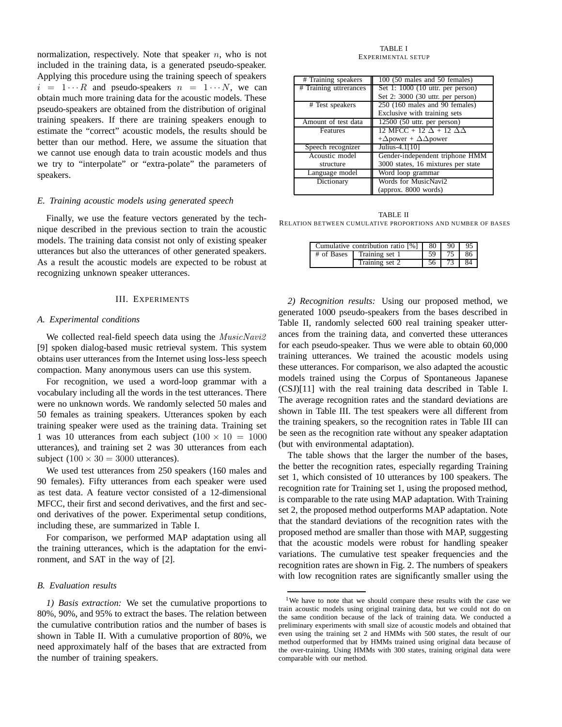normalization, respectively. Note that speaker *n*, who is not included in the training data, is a generated pseudo-speaker. Applying this procedure using the training speech of speakers  $i = 1 \cdots R$  and pseudo-speakers  $n = 1 \cdots N$ , we can obtain much more training data for the acoustic models. These pseudo-speakers are obtained from the distribution of original training speakers. If there are training speakers enough to estimate the "correct" acoustic models, the results should be better than our method. Here, we assume the situation that we cannot use enough data to train acoustic models and thus we try to "interpolate" or "extra-polate" the parameters of speakers.

#### *E. Training acoustic models using generated speech*

Finally, we use the feature vectors generated by the technique described in the previous section to train the acoustic models. The training data consist not only of existing speaker utterances but also the utterances of other generated speakers. As a result the acoustic models are expected to be robust at recognizing unknown speaker utterances.

# III. EXPERIMENTS

#### *A. Experimental conditions*

We collected real-field speech data using the *MusicNavi2* [9] spoken dialog-based music retrieval system. This system obtains user utterances from the Internet using loss-less speech compaction. Many anonymous users can use this system.

For recognition, we used a word-loop grammar with a vocabulary including all the words in the test utterances. There were no unknown words. We randomly selected 50 males and 50 females as training speakers. Utterances spoken by each training speaker were used as the training data. Training set 1 was 10 utterances from each subject  $(100 \times 10 = 1000$ utterances), and training set 2 was 30 utterances from each subject  $(100 \times 30 = 3000$  utterances).

We used test utterances from 250 speakers (160 males and 90 females). Fifty utterances from each speaker were used as test data. A feature vector consisted of a 12-dimensional MFCC, their first and second derivatives, and the first and second derivatives of the power. Experimental setup conditions, including these, are summarized in Table I.

For comparison, we performed MAP adaptation using all the training utterances, which is the adaptation for the environment, and SAT in the way of [2].

#### *B. Evaluation results*

*1) Basis extraction:* We set the cumulative proportions to 80%, 90%, and 95% to extract the bases. The relation between the cumulative contribution ratios and the number of bases is shown in Table II. With a cumulative proportion of 80%, we need approximately half of the bases that are extracted from the number of training speakers.

#### TABLE I EXPERIMENTAL SETUP

| # Training speakers    | 100 (50 males and 50 females)             |  |  |  |  |
|------------------------|-------------------------------------------|--|--|--|--|
| # Training uttrerances | Set 1: $1000$ (10 uttr. per person)       |  |  |  |  |
|                        | Set 2: 3000 (30 uttr. per person)         |  |  |  |  |
| # Test speakers        | $250$ (160 males and 90 females)          |  |  |  |  |
|                        | Exclusive with training sets              |  |  |  |  |
| Amount of test data    | $12500$ (50 uttr. per person)             |  |  |  |  |
| Features               | 12 MFCC + 12 $\Delta$ + 12 $\Delta\Delta$ |  |  |  |  |
|                        | + $\Delta$ power + $\Delta\Delta$ power   |  |  |  |  |
| Speech recognizer      | Julius-4.1[10]                            |  |  |  |  |
| Acoustic model         | Gender-independent triphone HMM           |  |  |  |  |
| structure              | 3000 states, 16 mixtures per state        |  |  |  |  |
| Language model         | Word loop grammar                         |  |  |  |  |
| Dictionary             | Words for MusicNavi2                      |  |  |  |  |
|                        | (approx. 8000 words)                      |  |  |  |  |

TABLE II RELATION BETWEEN CUMULATIVE PROPORTIONS AND NUMBER OF BASES

| Cumulative contribution ratio $[%]$ |                | $\overline{80}$ |      | $90 \mid 95$ |
|-------------------------------------|----------------|-----------------|------|--------------|
| # of Bases                          | Training set 1 | 59              | 75 L | -86          |
|                                     | Training set 2 | 56              | 73 L | -84          |

*2) Recognition results:* Using our proposed method, we generated 1000 pseudo-speakers from the bases described in Table II, randomly selected 600 real training speaker utterances from the training data, and converted these utterances for each pseudo-speaker. Thus we were able to obtain 60,000 training utterances. We trained the acoustic models using these utterances. For comparison, we also adapted the acoustic models trained using the Corpus of Spontaneous Japanese (CSJ)[11] with the real training data described in Table I. The average recognition rates and the standard deviations are shown in Table III. The test speakers were all different from the training speakers, so the recognition rates in Table III can be seen as the recognition rate without any speaker adaptation (but with environmental adaptation).

The table shows that the larger the number of the bases, the better the recognition rates, especially regarding Training set 1, which consisted of 10 utterances by 100 speakers. The recognition rate for Training set 1, using the proposed method, is comparable to the rate using MAP adaptation. With Training set 2, the proposed method outperforms MAP adaptation. Note that the standard deviations of the recognition rates with the proposed method are smaller than those with MAP, suggesting that the acoustic models were robust for handling speaker variations. The cumulative test speaker frequencies and the recognition rates are shown in Fig. 2. The numbers of speakers with low recognition rates are significantly smaller using the

<sup>&</sup>lt;sup>1</sup>We have to note that we should compare these results with the case we train acoustic models using original training data, but we could not do on the same condition because of the lack of training data. We conducted a preliminary experiments with small size of acoustic models and obtained that even using the training set 2 and HMMs with 500 states, the result of our method outperformed that by HMMs trained using original data because of the over-training. Using HMMs with 300 states, training original data were comparable with our method.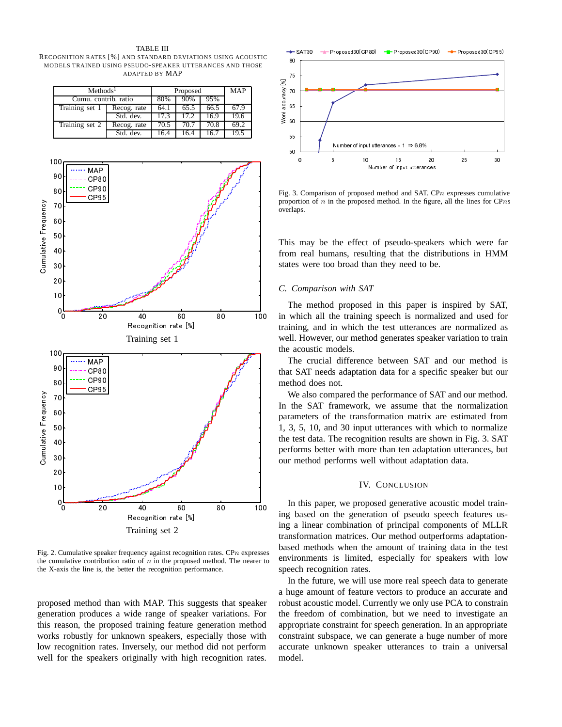TABLE III RECOGNITION RATES [%] AND STANDARD DEVIATIONS USING ACOUSTIC MODELS TRAINED USING PSEUDO-SPEAKER UTTERANCES AND THOSE ADAPTED BY MAP

| Methods <sup>1</sup> |             | Proposed | <b>MAP</b> |      |      |
|----------------------|-------------|----------|------------|------|------|
| Cumu. contrib. ratio |             | 80%      | 90%        | 95%  |      |
| Training set 1       | Recog. rate | 64.1     | 65.5       | 66.5 | 67.9 |
|                      | Std. dev.   | 17.3     | 17.2       | 16.9 | 19.6 |
| Training set 2       | Recog. rate | 70.5     | 70.7       | 70.8 | 69.2 |
|                      | Std. dev.   | 16.4     | 164        | 16.7 | 19.5 |



Fig. 2. Cumulative speaker frequency against recognition rates. CP*n* expresses the cumulative contribution ratio of  $n$  in the proposed method. The nearer to the X-axis the line is, the better the recognition performance.

proposed method than with MAP. This suggests that speaker generation produces a wide range of speaker variations. For this reason, the proposed training feature generation method works robustly for unknown speakers, especially those with low recognition rates. Inversely, our method did not perform well for the speakers originally with high recognition rates.



Fig. 3. Comparison of proposed method and SAT. CP*n* expresses cumulative proportion of *n* in the proposed method. In the figure, all the lines for CP*n*s overlaps.

This may be the effect of pseudo-speakers which were far from real humans, resulting that the distributions in HMM states were too broad than they need to be.

# *C. Comparison with SAT*

The method proposed in this paper is inspired by SAT, in which all the training speech is normalized and used for training, and in which the test utterances are normalized as well. However, our method generates speaker variation to train the acoustic models.

The crucial difference between SAT and our method is that SAT needs adaptation data for a specific speaker but our method does not.

We also compared the performance of SAT and our method. In the SAT framework, we assume that the normalization parameters of the transformation matrix are estimated from 1, 3, 5, 10, and 30 input utterances with which to normalize the test data. The recognition results are shown in Fig. 3. SAT performs better with more than ten adaptation utterances, but our method performs well without adaptation data.

#### IV. CONCLUSION

In this paper, we proposed generative acoustic model training based on the generation of pseudo speech features using a linear combination of principal components of MLLR transformation matrices. Our method outperforms adaptationbased methods when the amount of training data in the test environments is limited, especially for speakers with low speech recognition rates.

In the future, we will use more real speech data to generate a huge amount of feature vectors to produce an accurate and robust acoustic model. Currently we only use PCA to constrain the freedom of combination, but we need to investigate an appropriate constraint for speech generation. In an appropriate constraint subspace, we can generate a huge number of more accurate unknown speaker utterances to train a universal model.